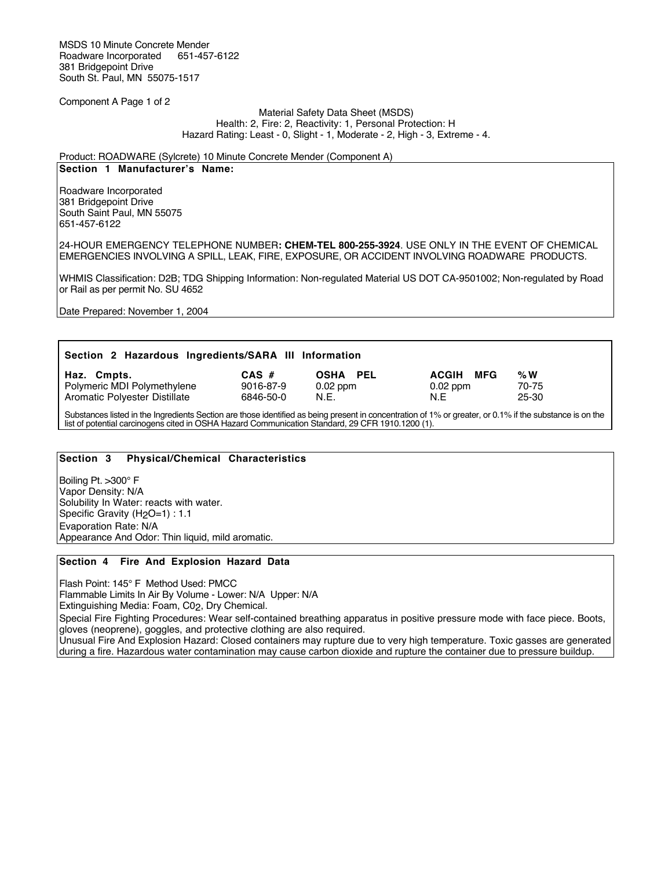MSDS 10 Minute Concrete Mender<br>Roadware Incorporated 651-457-6122 Roadware Incorporated 381 Bridgepoint Drive South St. Paul, MN 55075-1517

Component A Page 1 of 2

#### Material Safety Data Sheet (MSDS) Health: 2, Fire: 2, Reactivity: 1, Personal Protection: H Hazard Rating: Least - 0, Slight - 1, Moderate - 2, High - 3, Extreme - 4.

### Product: ROADWARE (Sylcrete) 10 Minute Concrete Mender (Component A)

### **Section 1 Manufacturer's Name:**

Roadware Incorporated 381 Bridgepoint Drive South Saint Paul, MN 55075 651-457-6122

24-HOUR EMERGENCY TELEPHONE NUMBER**: CHEM-TEL 800-255-3924**. USE ONLY IN THE EVENT OF CHEMICAL EMERGENCIES INVOLVING A SPILL, LEAK, FIRE, EXPOSURE, OR ACCIDENT INVOLVING ROADWARE PRODUCTS.

WHMIS Classification: D2B; TDG Shipping Information: Non-regulated Material US DOT CA-9501002; Non-regulated by Road or Rail as per permit No. SU 4652

Date Prepared: November 1, 2004

| Section 2 Hazardous Ingredients/SARA III Information                        |                                   |                                       |                                          |                         |  |  |  |  |
|-----------------------------------------------------------------------------|-----------------------------------|---------------------------------------|------------------------------------------|-------------------------|--|--|--|--|
| Haz. Cmpts.<br>Polymeric MDI Polymethylene<br>Aromatic Polyester Distillate | $CAS$ #<br>9016-87-9<br>6846-50-0 | <b>OSHA PEL</b><br>$0.02$ ppm<br>N.E. | MFG<br><b>ACGIH</b><br>$0.02$ ppm<br>N.F | % $W$<br>70-75<br>25-30 |  |  |  |  |

Substances listed in the Ingredients Section are those identified as being present in concentration of 1% or greater, or 0.1% if the substance is on the list of potential carcinogens cited in OSHA Hazard Communication Standard, 29 CFR 1910.1200 (1).

### **Section 3 Physical/Chemical Characteristics**

Boiling Pt. >300° F Vapor Density: N/A Solubility In Water: reacts with water. Specific Gravity (H<sub>2</sub>O=1) : 1.1 Evaporation Rate: N/A Appearance And Odor: Thin liquid, mild aromatic.

### **Section 4 Fire And Explosion Hazard Data**

Flash Point: 145° F Method Used: PMCC

Flammable Limits In Air By Volume - Lower: N/A Upper: N/A Extinguishing Media: Foam, C02, Dry Chemical.

Special Fire Fighting Procedures: Wear self-contained breathing apparatus in positive pressure mode with face piece. Boots, gloves (neoprene), goggles, and protective clothing are also required.

Unusual Fire And Explosion Hazard: Closed containers may rupture due to very high temperature. Toxic gasses are generated during a fire. Hazardous water contamination may cause carbon dioxide and rupture the container due to pressure buildup.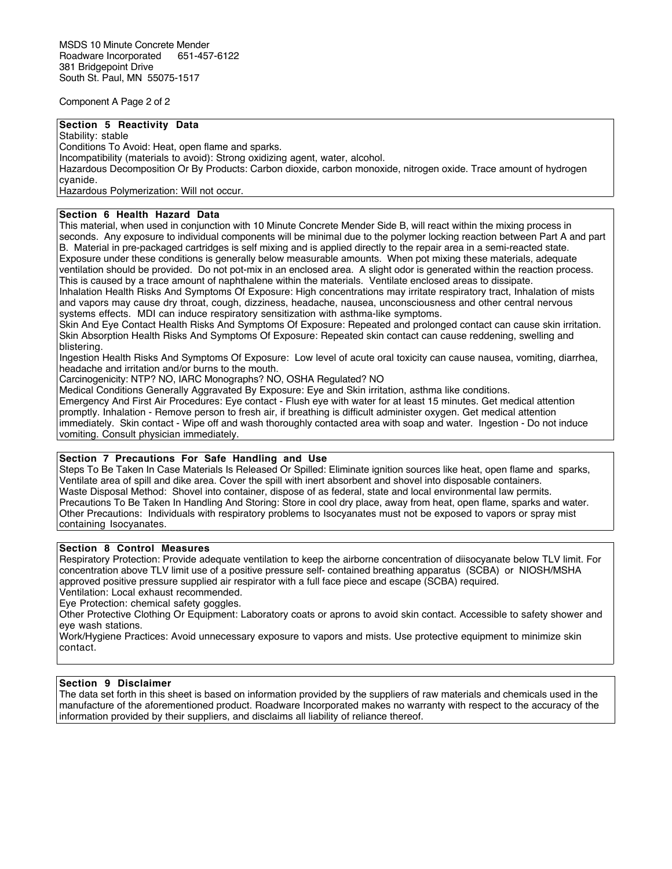Component A Page 2 of 2

## **Section 5 Reactivity Data**

Stability: stable

Conditions To Avoid: Heat, open flame and sparks.

Incompatibility (materials to avoid): Strong oxidizing agent, water, alcohol.

Hazardous Decomposition Or By Products: Carbon dioxide, carbon monoxide, nitrogen oxide. Trace amount of hydrogen cyanide.

Hazardous Polymerization: Will not occur.

### **Section 6 Health Hazard Data**

This material, when used in conjunction with 10 Minute Concrete Mender Side B, will react within the mixing process in seconds. Any exposure to individual components will be minimal due to the polymer locking reaction between Part A and part B. Material in pre-packaged cartridges is self mixing and is applied directly to the repair area in a semi-reacted state. Exposure under these conditions is generally below measurable amounts. When pot mixing these materials, adequate ventilation should be provided. Do not pot-mix in an enclosed area. A slight odor is generated within the reaction process. This is caused by a trace amount of naphthalene within the materials. Ventilate enclosed areas to dissipate. Inhalation Health Risks And Symptoms Of Exposure: High concentrations may irritate respiratory tract, Inhalation of mists and vapors may cause dry throat, cough, dizziness, headache, nausea, unconsciousness and other central nervous

systems effects. MDI can induce respiratory sensitization with asthma-like symptoms.

Skin And Eye Contact Health Risks And Symptoms Of Exposure: Repeated and prolonged contact can cause skin irritation. Skin Absorption Health Risks And Symptoms Of Exposure: Repeated skin contact can cause reddening, swelling and blistering.

Ingestion Health Risks And Symptoms Of Exposure: Low level of acute oral toxicity can cause nausea, vomiting, diarrhea, headache and irritation and/or burns to the mouth.

Carcinogenicity: NTP? NO, IARC Monographs? NO, OSHA Regulated? NO

Medical Conditions Generally Aggravated By Exposure: Eye and Skin irritation, asthma like conditions.

Emergency And First Air Procedures: Eye contact - Flush eye with water for at least 15 minutes. Get medical attention promptly. Inhalation - Remove person to fresh air, if breathing is difficult administer oxygen. Get medical attention immediately. Skin contact - Wipe off and wash thoroughly contacted area with soap and water. Ingestion - Do not induce vomiting. Consult physician immediately.

# **Section 7 Precautions For Safe Handling and Use**

Steps To Be Taken In Case Materials Is Released Or Spilled: Eliminate ignition sources like heat, open flame and sparks, Ventilate area of spill and dike area. Cover the spill with inert absorbent and shovel into disposable containers. Waste Disposal Method: Shovel into container, dispose of as federal, state and local environmental law permits. Precautions To Be Taken In Handling And Storing: Store in cool dry place, away from heat, open flame, sparks and water. Other Precautions: Individuals with respiratory problems to Isocyanates must not be exposed to vapors or spray mist containing Isocyanates.

## **Section 8 Control Measures**

Respiratory Protection: Provide adequate ventilation to keep the airborne concentration of diisocyanate below TLV limit. For concentration above TLV limit use of a positive pressure self- contained breathing apparatus (SCBA) or NIOSH/MSHA approved positive pressure supplied air respirator with a full face piece and escape (SCBA) required.

Ventilation: Local exhaust recommended.

Eye Protection: chemical safety goggles.

Other Protective Clothing Or Equipment: Laboratory coats or aprons to avoid skin contact. Accessible to safety shower and eye wash stations.

Work/Hygiene Practices: Avoid unnecessary exposure to vapors and mists. Use protective equipment to minimize skin contact.

### **Section 9 Disclaimer**

The data set forth in this sheet is based on information provided by the suppliers of raw materials and chemicals used in the manufacture of the aforementioned product. Roadware Incorporated makes no warranty with respect to the accuracy of the information provided by their suppliers, and disclaims all liability of reliance thereof.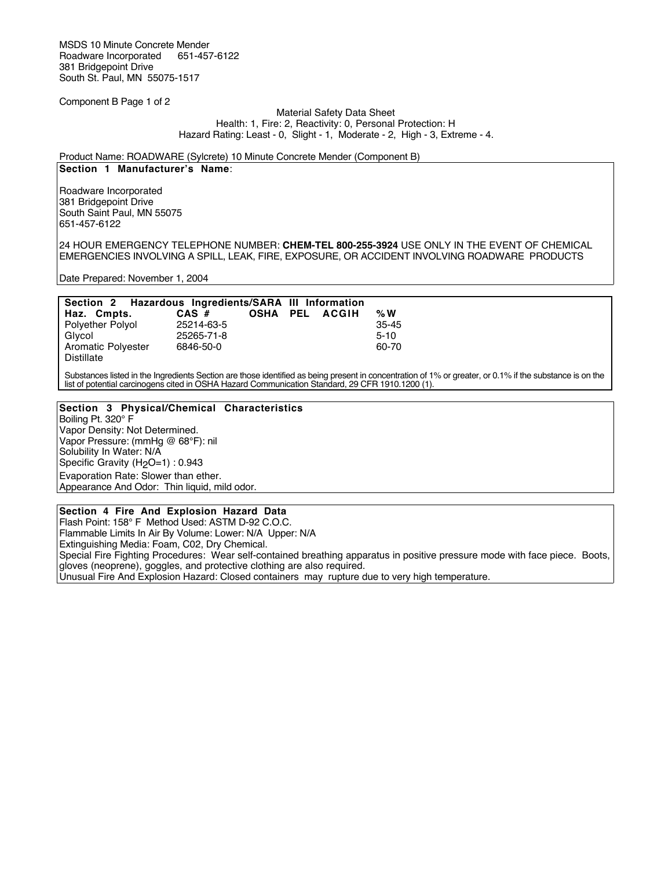Component B Page 1 of 2

#### Material Safety Data Sheet Health: 1, Fire: 2, Reactivity: 0, Personal Protection: H Hazard Rating: Least - 0, Slight - 1, Moderate - 2, High - 3, Extreme - 4.

# Product Name: ROADWARE (Sylcrete) 10 Minute Concrete Mender (Component B)

## **Section 1 Manufacturer's Name**:

Roadware Incorporated 381 Bridgepoint Drive South Saint Paul, MN 55075 651-457-6122

24 HOUR EMERGENCY TELEPHONE NUMBER: **CHEM-TEL 800-255-3924** USE ONLY IN THE EVENT OF CHEMICAL EMERGENCIES INVOLVING A SPILL, LEAK, FIRE, EXPOSURE, OR ACCIDENT INVOLVING ROADWARE PRODUCTS

Date Prepared: November 1, 2004

|                           | Section 2 Hazardous Ingredients/SARA III Information |  |  |                |           |
|---------------------------|------------------------------------------------------|--|--|----------------|-----------|
| Haz. Cmpts.               | $CAS$ #                                              |  |  | OSHA PEL ACGIH | % $W$     |
| <b>Polvether Polvol</b>   | 25214-63-5                                           |  |  |                | $35 - 45$ |
| Glvcol                    | 25265-71-8                                           |  |  |                | $5-10$    |
| <b>Aromatic Polyester</b> | 6846-50-0                                            |  |  |                | 60-70     |
| Distillate                |                                                      |  |  |                |           |

Substances listed in the Ingredients Section are those identified as being present in concentration of 1% or greater, or 0.1% if the substance is on the list of potential carcinogens cited in OSHA Hazard Communication Standard, 29 CFR 1910.1200 (1).

### **Section 3 Physical/Chemical Characteristics**

Boiling Pt. 320° F Vapor Density: Not Determined. Vapor Pressure: (mmHg @ 68°F): nil Solubility In Water: N/A Specific Gravity (H<sub>2</sub>O=1) : 0.943 Evaporation Rate: Slower than ether. Appearance And Odor: Thin liquid, mild odor.

### **Section 4 Fire And Explosion Hazard Data**

Flash Point: 158° F Method Used: ASTM D-92 C.O.C. Flammable Limits In Air By Volume: Lower: N/A Upper: N/A Extinguishing Media: Foam, C02, Dry Chemical. Special Fire Fighting Procedures: Wear self-contained breathing apparatus in positive pressure mode with face piece. Boots, gloves (neoprene), goggles, and protective clothing are also required. Unusual Fire And Explosion Hazard: Closed containers may rupture due to very high temperature.